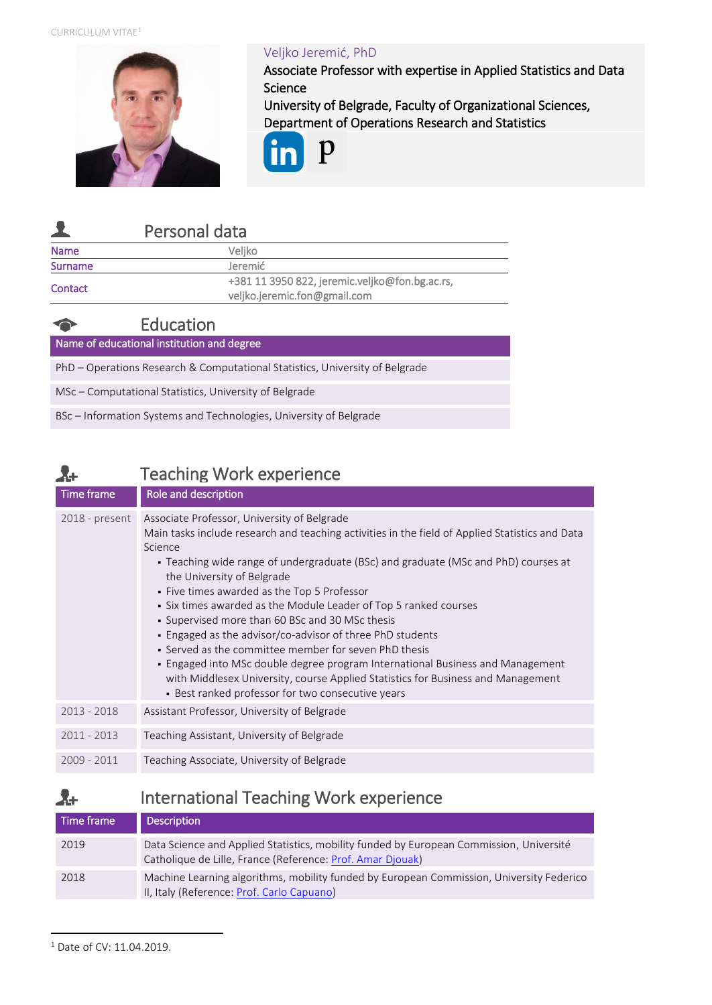CURRICULUM VITAE<sup>1</sup>



## Veljko Jeremić, PhD

Associate Professor with expertise in Applied Statistics and Data Science

University of Belgrade, Faculty of Organizational Sciences, Department of Operations Research and Statistics



|             | Personal data                                                                  |
|-------------|--------------------------------------------------------------------------------|
| <b>Name</b> | Veliko                                                                         |
| Surname     | Jeremić                                                                        |
| Contact     | +381 11 3950 822, jeremic.veljko@fon.bg.ac.rs,<br>veljko.jeremic.fon@gmail.com |

|                                            | Education                                                                    |
|--------------------------------------------|------------------------------------------------------------------------------|
| Name of educational institution and degree |                                                                              |
|                                            | PhD - Operations Research & Computational Statistics, University of Belgrade |
|                                            | MSc – Computational Statistics, University of Belgrade                       |
|                                            | BSc – Information Systems and Technologies, University of Belgrade           |
|                                            |                                                                              |

# Teaching Work experience

| Time frame     | Role and description                                                                                                                                                                                                                                                                                                                                                                                                                                                                                                                                                                                                                                                                                                                                                                                 |
|----------------|------------------------------------------------------------------------------------------------------------------------------------------------------------------------------------------------------------------------------------------------------------------------------------------------------------------------------------------------------------------------------------------------------------------------------------------------------------------------------------------------------------------------------------------------------------------------------------------------------------------------------------------------------------------------------------------------------------------------------------------------------------------------------------------------------|
| 2018 - present | Associate Professor, University of Belgrade<br>Main tasks include research and teaching activities in the field of Applied Statistics and Data<br>Science<br>• Teaching wide range of undergraduate (BSc) and graduate (MSc and PhD) courses at<br>the University of Belgrade<br>• Five times awarded as the Top 5 Professor<br>• Six times awarded as the Module Leader of Top 5 ranked courses<br>• Supervised more than 60 BSc and 30 MSc thesis<br>• Engaged as the advisor/co-advisor of three PhD students<br>• Served as the committee member for seven PhD thesis<br>- Engaged into MSc double degree program International Business and Management<br>with Middlesex University, course Applied Statistics for Business and Management<br>• Best ranked professor for two consecutive years |
| $2013 - 2018$  | Assistant Professor, University of Belgrade                                                                                                                                                                                                                                                                                                                                                                                                                                                                                                                                                                                                                                                                                                                                                          |
| $2011 - 2013$  | Teaching Assistant, University of Belgrade                                                                                                                                                                                                                                                                                                                                                                                                                                                                                                                                                                                                                                                                                                                                                           |
| 2009 - 2011    | Teaching Associate, University of Belgrade                                                                                                                                                                                                                                                                                                                                                                                                                                                                                                                                                                                                                                                                                                                                                           |

#### International Teaching Work experience  $\lambda$ +

| Time frame | <b>Description</b>                                                                                                                                    |
|------------|-------------------------------------------------------------------------------------------------------------------------------------------------------|
| 2019       | Data Science and Applied Statistics, mobility funded by European Commission, Université<br>Catholique de Lille, France (Reference: Prof. Amar Djouak) |
| 2018       | Machine Learning algorithms, mobility funded by European Commission, University Federico<br>II, Italy (Reference: Prof. Carlo Capuano)                |

<sup>1</sup> Date of CV: 11.04.2019.

 $\overline{a}$ 

Åŧ.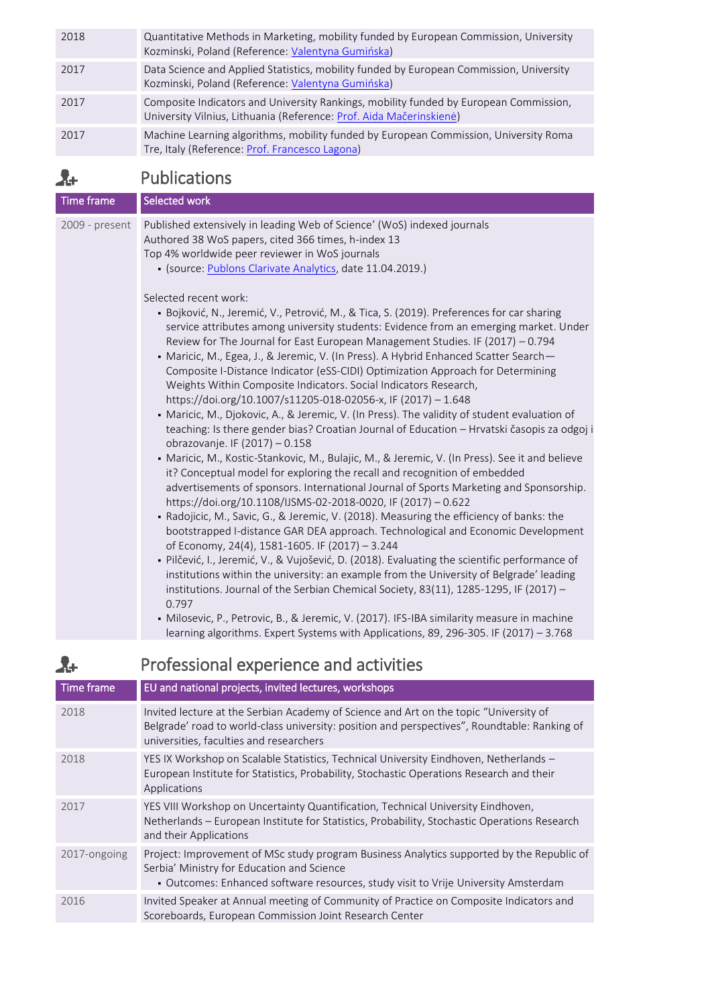| 2018 | Quantitative Methods in Marketing, mobility funded by European Commission, University<br>Kozminski, Poland (Reference: Valentyna Gumińska)                   |
|------|--------------------------------------------------------------------------------------------------------------------------------------------------------------|
| 2017 | Data Science and Applied Statistics, mobility funded by European Commission, University<br>Kozminski, Poland (Reference: Valentyna Gumińska)                 |
| 2017 | Composite Indicators and University Rankings, mobility funded by European Commission,<br>University Vilnius, Lithuania (Reference: Prof. Aida Mačerinskienė) |
| 2017 | Machine Learning algorithms, mobility funded by European Commission, University Roma<br>Tre, Italy (Reference: Prof. Francesco Lagona)                       |

#### Publications  $\mathbf{A}$

| Time frame     | Selected work                                                                                                                                                                                                                                                                                                                                                                                                                                                                                                                                                                                                                                                                                                                                                                                                                                                                                                                                                                                                                                                                                   |
|----------------|-------------------------------------------------------------------------------------------------------------------------------------------------------------------------------------------------------------------------------------------------------------------------------------------------------------------------------------------------------------------------------------------------------------------------------------------------------------------------------------------------------------------------------------------------------------------------------------------------------------------------------------------------------------------------------------------------------------------------------------------------------------------------------------------------------------------------------------------------------------------------------------------------------------------------------------------------------------------------------------------------------------------------------------------------------------------------------------------------|
| 2009 - present | Published extensively in leading Web of Science' (WoS) indexed journals<br>Authored 38 WoS papers, cited 366 times, h-index 13<br>Top 4% worldwide peer reviewer in WoS journals<br>• (source: Publons Clarivate Analytics, date 11.04.2019.)<br>Selected recent work:<br>· Bojković, N., Jeremić, V., Petrović, M., & Tica, S. (2019). Preferences for car sharing<br>service attributes among university students: Evidence from an emerging market. Under<br>Review for The Journal for East European Management Studies. IF (2017) - 0.794<br>• Maricic, M., Egea, J., & Jeremic, V. (In Press). A Hybrid Enhanced Scatter Search-<br>Composite I-Distance Indicator (eSS-CIDI) Optimization Approach for Determining<br>Weights Within Composite Indicators. Social Indicators Research,<br>https://doi.org/10.1007/s11205-018-02056-x, IF (2017) - 1.648<br>- Maricic, M., Djokovic, A., & Jeremic, V. (In Press). The validity of student evaluation of<br>teaching: Is there gender bias? Croatian Journal of Education - Hrvatski časopis za odgoj i<br>obrazovanje. IF (2017) - 0.158 |
|                | • Maricic, M., Kostic-Stankovic, M., Bulajic, M., & Jeremic, V. (In Press). See it and believe<br>it? Conceptual model for exploring the recall and recognition of embedded<br>advertisements of sponsors. International Journal of Sports Marketing and Sponsorship.<br>https://doi.org/10.1108/IJSMS-02-2018-0020, IF (2017) - 0.622                                                                                                                                                                                                                                                                                                                                                                                                                                                                                                                                                                                                                                                                                                                                                          |
|                | • Radojicic, M., Savic, G., & Jeremic, V. (2018). Measuring the efficiency of banks: the<br>bootstrapped I-distance GAR DEA approach. Technological and Economic Development<br>of Economy, 24(4), 1581-1605. IF (2017) - 3.244                                                                                                                                                                                                                                                                                                                                                                                                                                                                                                                                                                                                                                                                                                                                                                                                                                                                 |
|                | - Pilčević, I., Jeremić, V., & Vujošević, D. (2018). Evaluating the scientific performance of<br>institutions within the university: an example from the University of Belgrade' leading<br>institutions. Journal of the Serbian Chemical Society, 83(11), 1285-1295, IF (2017) -<br>0.797                                                                                                                                                                                                                                                                                                                                                                                                                                                                                                                                                                                                                                                                                                                                                                                                      |
|                | - Milosevic, P., Petrovic, B., & Jeremic, V. (2017). IFS-IBA similarity measure in machine<br>learning algorithms. Expert Systems with Applications, 89, 296-305. IF (2017) - 3.768                                                                                                                                                                                                                                                                                                                                                                                                                                                                                                                                                                                                                                                                                                                                                                                                                                                                                                             |

### Professional experience and activities  $\lambda$

| Time frame   | EU and national projects, invited lectures, workshops                                                                                                                                                                            |
|--------------|----------------------------------------------------------------------------------------------------------------------------------------------------------------------------------------------------------------------------------|
|              |                                                                                                                                                                                                                                  |
| 2018         | Invited lecture at the Serbian Academy of Science and Art on the topic "University of<br>Belgrade' road to world-class university: position and perspectives", Roundtable: Ranking of<br>universities, faculties and researchers |
| 2018         | YES IX Workshop on Scalable Statistics, Technical University Eindhoven, Netherlands -<br>European Institute for Statistics, Probability, Stochastic Operations Research and their<br>Applications                                |
| 2017         | YES VIII Workshop on Uncertainty Quantification, Technical University Eindhoven,<br>Netherlands – European Institute for Statistics, Probability, Stochastic Operations Research<br>and their Applications                       |
| 2017-ongoing | Project: Improvement of MSc study program Business Analytics supported by the Republic of<br>Serbia' Ministry for Education and Science<br>- Outcomes: Enhanced software resources, study visit to Vrije University Amsterdam    |
| 2016         | Invited Speaker at Annual meeting of Community of Practice on Composite Indicators and<br>Scoreboards, European Commission Joint Research Center                                                                                 |